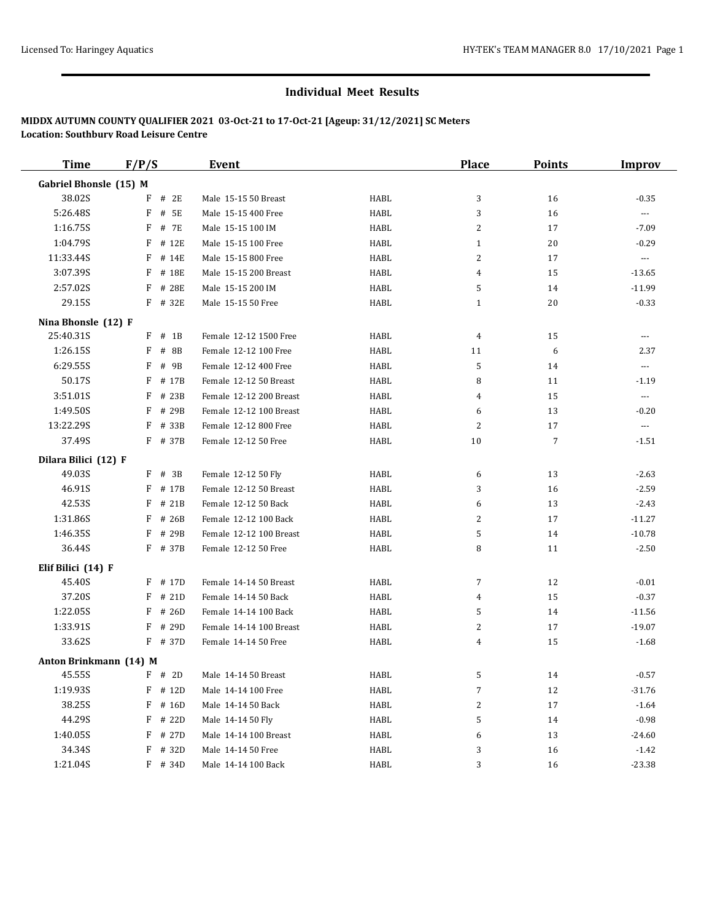| <b>Time</b>            | F/P/S     | <b>Event</b>                   |                         |      | <b>Place</b>   | <b>Points</b>  | <b>Improv</b>        |
|------------------------|-----------|--------------------------------|-------------------------|------|----------------|----------------|----------------------|
| Gabriel Bhonsle (15) M |           |                                |                         |      |                |                |                      |
| 38.02S                 | F         | # 2E<br>Male 15-15 50 Breast   |                         | HABL | 3              | 16             | $-0.35$              |
| 5:26.48S               | F         | # 5E<br>Male 15-15 400 Free    |                         | HABL | 3              | 16             | $\scriptstyle\cdots$ |
| 1:16.75S               | F         | # 7E<br>Male 15-15 100 IM      |                         | HABL | 2              | 17             | $-7.09$              |
| 1:04.79S               | F         | # 12E<br>Male 15-15 100 Free   |                         | HABL | $\mathbf{1}$   | 20             | $-0.29$              |
| 11:33.44S              | F         | Male 15-15 800 Free<br># 14E   |                         | HABL | $\overline{c}$ | 17             | $\scriptstyle\cdots$ |
| 3:07.39S               | F         | Male 15-15 200 Breast<br># 18E |                         | HABL | $\overline{4}$ | 15             | $-13.65$             |
| 2:57.02S               | F         | # 28E<br>Male 15-15 200 IM     |                         | HABL | 5              | 14             | $-11.99$             |
| 29.15S                 | F         | # 32E<br>Male 15-15 50 Free    |                         | HABL | $\mathbf{1}$   | 20             | $-0.33$              |
| Nina Bhonsle (12) F    |           |                                |                         |      |                |                |                      |
| 25:40.31S              | $F$ # 1B  |                                | Female 12-12 1500 Free  | HABL | $\overline{4}$ | 15             | $\cdots$             |
| 1:26.15S               | F         | # 8B<br>Female 12-12 100 Free  |                         | HABL | 11             | 6              | 2.37                 |
| 6:29.55S               | F         | # 9B<br>Female 12-12 400 Free  |                         | HABL | 5              | 14             | $\scriptstyle\cdots$ |
| 50.17S                 | F         | # 17B                          | Female 12-12 50 Breast  | HABL | 8              | 11             | $-1.19$              |
| 3:51.01S               | F         | # 23B                          | Female 12-12 200 Breast | HABL | 4              | 15             | $\scriptstyle\cdots$ |
| 1:49.50S               | F         | # 29B                          | Female 12-12 100 Breast | HABL | 6              | 13             | $-0.20$              |
| 13:22.29S              | F         | Female 12-12 800 Free<br># 33B |                         | HABL | $\overline{c}$ | 17             | $\scriptstyle\cdots$ |
| 37.49S                 | $F$ # 37B | Female 12-12 50 Free           |                         | HABL | 10             | $\overline{7}$ | $-1.51$              |
| Dilara Bilici (12) F   |           |                                |                         |      |                |                |                      |
| 49.03S                 | F         | # 3B<br>Female 12-12 50 Fly    |                         | HABL | 6              | 13             | $-2.63$              |
| 46.91S                 | F         | # 17B                          | Female 12-12 50 Breast  | HABL | 3              | 16             | $-2.59$              |
| 42.53S                 | F         | # 21B<br>Female 12-12 50 Back  |                         | HABL | 6              | 13             | $-2.43$              |
| 1:31.86S               | F         | # 26B<br>Female 12-12 100 Back |                         | HABL | $\overline{c}$ | 17             | $-11.27$             |
| 1:46.35S               | F         | # 29B                          | Female 12-12 100 Breast | HABL | 5              | 14             | $-10.78$             |
| 36.44S                 | F # 37B   | Female 12-12 50 Free           |                         | HABL | 8              | 11             | $-2.50$              |
| Elif Bilici (14) F     |           |                                |                         |      |                |                |                      |
| 45.40S                 | F         | # 17D                          | Female 14-14 50 Breast  | HABL | $\overline{7}$ | 12             | $-0.01$              |
| 37.20S                 | F         | # 21D<br>Female 14-14 50 Back  |                         | HABL | 4              | 15             | $-0.37$              |
| 1:22.05S               | F         | # 26D<br>Female 14-14 100 Back |                         | HABL | 5              | 14             | $-11.56$             |
| 1:33.91S               | F         | # 29D                          | Female 14-14 100 Breast | HABL | $\overline{c}$ | 17             | $-19.07$             |
| 33.62S                 | $F$ # 37D | Female 14-14 50 Free           |                         | HABL | $\overline{4}$ | 15             | $-1.68$              |
| Anton Brinkmann (14) M |           |                                |                         |      |                |                |                      |
| 45.55S                 | $F$ # 2D  | Male 14-14 50 Breast           |                         | HABL | 5              | 14             | $-0.57$              |
| 1:19.93S               | $F$ # 12D | Male 14-14 100 Free            |                         | HABL | $\overline{7}$ | 12             | $-31.76$             |
| 38.25S                 | $F$ # 16D | Male 14-14 50 Back             |                         | HABL | 2              | 17             | $-1.64$              |
| 44.29S                 | F         | # 22D<br>Male 14-14 50 Fly     |                         | HABL | 5              | 14             | $-0.98$              |
| 1:40.05S               | F         | # 27D<br>Male 14-14 100 Breast |                         | HABL | 6              | 13             | $-24.60$             |
| 34.34S                 | F         | # 32D<br>Male 14-14 50 Free    |                         | HABL | 3              | 16             | $-1.42$              |
| 1:21.04S               | $F$ # 34D | Male 14-14 100 Back            |                         | HABL | 3              | 16             | $-23.38$             |
|                        |           |                                |                         |      |                |                |                      |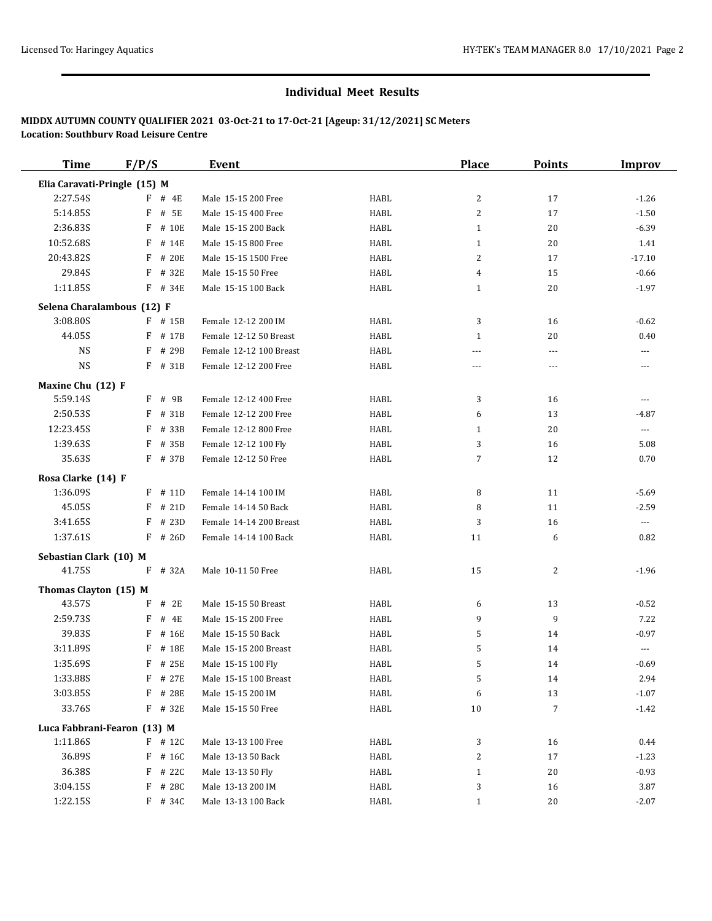| <b>Time</b>                  | F/P/S                       | Event                   |      | <b>Place</b>   | <b>Points</b> | <b>Improv</b>            |
|------------------------------|-----------------------------|-------------------------|------|----------------|---------------|--------------------------|
| Elia Caravati-Pringle (15) M |                             |                         |      |                |               |                          |
| 2:27.54S                     | $F$ # 4E                    | Male 15-15 200 Free     | HABL | 2              | 17            | $-1.26$                  |
| 5:14.85S                     | # 5E<br>F                   | Male 15-15 400 Free     | HABL | $\overline{c}$ | 17            | $-1.50$                  |
| 2:36.83S                     | F<br># 10E                  | Male 15-15 200 Back     | HABL | $\mathbf{1}$   | 20            | $-6.39$                  |
| 10:52.68S                    | F<br># 14E                  | Male 15-15 800 Free     | HABL | $\mathbf{1}$   | 20            | 1.41                     |
| 20:43.82S                    | # 20E<br>F                  | Male 15-15 1500 Free    | HABL | 2              | 17            | $-17.10$                 |
| 29.84S                       | # 32E<br>F                  | Male 15-15 50 Free      | HABL | 4              | 15            | $-0.66$                  |
| 1:11.85S                     | $F$ # 34E                   | Male 15-15 100 Back     | HABL | $\mathbf{1}$   | 20            | $-1.97$                  |
| Selena Charalambous (12) F   |                             |                         |      |                |               |                          |
| 3:08.80S                     | $F$ # 15B                   | Female 12-12 200 IM     | HABL | 3              | 16            | $-0.62$                  |
| 44.05S                       | $F$ # 17B                   | Female 12-12 50 Breast  | HABL | $\mathbf{1}$   | 20            | 0.40                     |
| <b>NS</b>                    | # 29B<br>F                  | Female 12-12 100 Breast | HABL | $\overline{a}$ | $\cdots$      | $\cdots$                 |
| <b>NS</b>                    | $F$ # 31B                   | Female 12-12 200 Free   | HABL | ---            | $---$         | $\overline{\phantom{a}}$ |
| Maxine Chu (12) F            |                             |                         |      |                |               |                          |
| 5:59.14S                     | F<br># 9B                   | Female 12-12 400 Free   | HABL | 3              | 16            | $\cdots$                 |
| 2:50.53S                     | F<br># 31B                  | Female 12-12 200 Free   | HABL | 6              | 13            | $-4.87$                  |
| 12:23.45S                    | # 33B<br>F                  | Female 12-12 800 Free   | HABL | $\mathbf{1}$   | 20            | $\scriptstyle\cdots$     |
| 1:39.635                     | # 35B<br>F                  | Female 12-12 100 Fly    | HABL | 3              | 16            | 5.08                     |
| 35.63S                       | F # 37B                     | Female 12-12 50 Free    | HABL | $\overline{7}$ | 12            | 0.70                     |
|                              |                             |                         |      |                |               |                          |
| Rosa Clarke (14) F           |                             |                         |      |                |               |                          |
| 1:36.09S                     | $F$ # 11D                   | Female 14-14 100 IM     | HABL | 8              | 11            | $-5.69$                  |
| 45.05S                       | # 21D<br>F                  | Female 14-14 50 Back    | HABL | 8              | 11            | $-2.59$                  |
| 3:41.65S                     | # 23D<br>F                  | Female 14-14 200 Breast | HABL | 3              | 16            | $\cdots$                 |
| 1:37.61S                     | $F$ # 26D                   | Female 14-14 100 Back   | HABL | 11             | 6             | 0.82                     |
| Sebastian Clark (10) M       |                             |                         |      |                |               |                          |
| 41.75S                       | F<br># 32A                  | Male 10-11 50 Free      | HABL | 15             | 2             | $-1.96$                  |
| Thomas Clayton (15) M        |                             |                         |      |                |               |                          |
| 43.57S                       | # 2E<br>F                   | Male 15-15 50 Breast    | HABL | 6              | 13            | $-0.52$                  |
| 2:59.73S                     | F<br># 4E                   | Male 15-15 200 Free     | HABL | 9              | 9             | 7.22                     |
| 39.83S                       | F<br># 16E                  | Male 15-15 50 Back      | HABL | 5              | 14            | $-0.97$                  |
| 3:11.89S                     | # 18E<br>F                  | Male 15-15 200 Breast   | HABL | 5              | 14            | $\cdots$                 |
| 1:35.69S                     | F # 25E                     | Male 15-15 100 Fly      | HABL | 5              | 14            | $-0.69$                  |
| 1:33.88S                     | $F$ # 27E                   | Male 15-15 100 Breast   | HABL | 5              | 14            | 2.94                     |
| 3:03.85S                     | $F$ # 28E                   | Male 15-15 200 IM       | HABL | 6              | 13            | $-1.07$                  |
| 33.76S                       | F # 32E                     | Male 15-15 50 Free      | HABL | $10\,$         | $\sqrt{7}$    | $-1.42$                  |
|                              | Luca Fabbrani-Fearon (13) M |                         |      |                |               |                          |
| 1:11.86S                     | $F$ # 12C                   | Male 13-13 100 Free     | HABL | 3              | 16            | 0.44                     |
| 36.89S                       | $F$ # 16C                   | Male 13-13 50 Back      | HABL | 2              | 17            | $-1.23$                  |
| 36.38S                       | $F$ # 22C                   | Male 13-13 50 Fly       | HABL | $\mathbf{1}$   | 20            | $-0.93$                  |
| 3:04.15S                     | F # 28C                     | Male 13-13 200 IM       | HABL | 3              | 16            | 3.87                     |
| 1:22.15S                     | $F$ # 34C                   | Male 13-13 100 Back     | HABL | $\mathbf{1}$   | 20            | $-2.07$                  |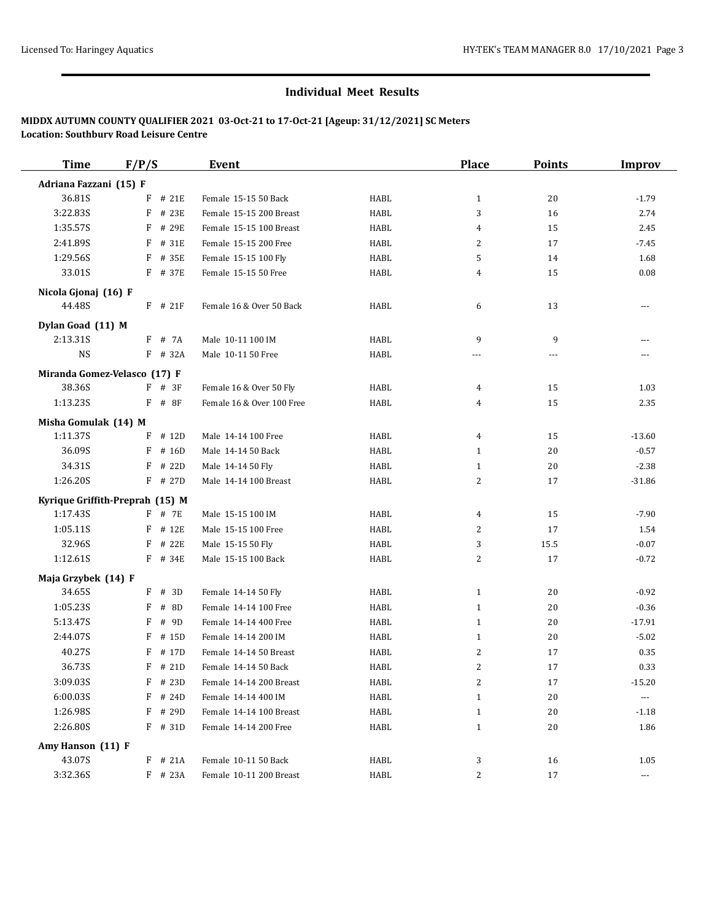| <b>Time</b>                     | F/P/S |           | Event                     |             | <b>Place</b>   | <b>Points</b> | <b>Improv</b>        |
|---------------------------------|-------|-----------|---------------------------|-------------|----------------|---------------|----------------------|
| Adriana Fazzani (15) F          |       |           |                           |             |                |               |                      |
| 36.81S                          | F     | # 21E     | Female 15-15 50 Back      | HABL        | $\mathbf{1}$   | 20            | $-1.79$              |
| 3:22.83S                        | F     | # 23E     | Female 15-15 200 Breast   | HABL        | 3              | 16            | 2.74                 |
| 1:35.57S                        | F     | # 29E     | Female 15-15 100 Breast   | HABL        | 4              | 15            | 2.45                 |
| 2:41.89S                        | F     | # 31E     | Female 15-15 200 Free     | HABL        | 2              | 17            | $-7.45$              |
| 1:29.56S                        |       | F # 35E   | Female 15-15 100 Fly      | HABL        | 5              | 14            | 1.68                 |
| 33.01S                          |       | F # 37E   | Female 15-15 50 Free      | HABL        | 4              | 15            | 0.08                 |
| Nicola Gjonaj (16) F            |       |           |                           |             |                |               |                      |
| 44.48S                          |       | $F$ # 21F | Female 16 & Over 50 Back  | <b>HABL</b> | 6              | 13            | $\cdots$             |
| Dylan Goad (11) M               |       |           |                           |             |                |               |                      |
| 2:13.31S                        |       | F # 7A    | Male 10-11 100 IM         | HABL        | 9              | 9             | ---                  |
| <b>NS</b>                       |       | $F$ # 32A | Male 10-11 50 Free        | HABL        | ---            | $- - -$       |                      |
| Miranda Gomez-Velasco (17) F    |       |           |                           |             |                |               |                      |
| 38.36S                          |       | $F$ # 3F  | Female 16 & Over 50 Fly   | HABL        | $\overline{4}$ | 15            | 1.03                 |
| 1:13.23S                        |       | $F$ # 8F  | Female 16 & Over 100 Free | HABL        | 4              | 15            | 2.35                 |
| Misha Gomulak (14) M            |       |           |                           |             |                |               |                      |
| 1:11.37S                        | F     | # 12D     | Male 14-14 100 Free       | HABL        | 4              | 15            | $-13.60$             |
| 36.09S                          | F     | # 16D     | Male 14-14 50 Back        | HABL        | $\mathbf{1}$   | 20            | $-0.57$              |
| 34.31S                          |       | $F$ # 22D | Male 14-14 50 Fly         | HABL        | $\mathbf{1}$   | 20            | $-2.38$              |
| 1:26.20S                        |       | $F$ # 27D | Male 14-14 100 Breast     | HABL        | $\overline{c}$ | 17            | $-31.86$             |
| Kyrique Griffith-Preprah (15) M |       |           |                           |             |                |               |                      |
| 1:17.43S                        |       | F # 7E    | Male 15-15 100 IM         | HABL        | 4              | 15            | $-7.90$              |
| 1:05.11S                        | F     | # 12E     | Male 15-15 100 Free       | HABL        | 2              | 17            | 1.54                 |
| 32.96S                          |       | $F$ # 22E | Male 15-15 50 Fly         | HABL        | 3              | 15.5          | $-0.07$              |
| 1:12.61S                        |       | $F$ # 34E | Male 15-15 100 Back       | HABL        | 2              | 17            | $-0.72$              |
| Maja Grzybek (14) F             |       |           |                           |             |                |               |                      |
| 34.65S                          |       | $F$ # 3D  | Female 14-14 50 Fly       | HABL        | $\mathbf{1}$   | 20            | $-0.92$              |
| 1:05.23S                        | F     | # 8D      | Female 14-14 100 Free     | HABL        | $\mathbf{1}$   | 20            | $-0.36$              |
| 5:13.47S                        | F     | # 9D      | Female 14-14 400 Free     | HABL        | $\mathbf{1}$   | 20            | $-17.91$             |
| 2:44.07S                        | F     | # 15D     | Female 14-14 200 IM       | HABL        | $\mathbf{1}$   | 20            | $-5.02$              |
| 40.27S                          | F     | # 17D     | Female 14-14 50 Breast    | HABL        | $\overline{c}$ | 17            | 0.35                 |
| 36.73S                          | F     | # 21D     | Female 14-14 50 Back      | HABL        | $\overline{c}$ | 17            | 0.33                 |
| 3:09.03S                        | F     | # 23D     | Female 14-14 200 Breast   | HABL        | 2              | 17            | $-15.20$             |
| 6:00.03S                        | F     | # 24D     | Female 14-14 400 IM       | HABL        | $\mathbf{1}$   | 20            | $\cdots$             |
| 1:26.98S                        | F     | # 29D     | Female 14-14 100 Breast   | HABL        | $\mathbf{1}$   | 20            | $-1.18$              |
| 2:26.80S                        |       | $F$ # 31D | Female 14-14 200 Free     | HABL        | $\mathbf{1}$   | 20            | 1.86                 |
| Amy Hanson (11) F               |       |           |                           |             |                |               |                      |
| 43.07S                          |       | $F$ # 21A | Female 10-11 50 Back      | HABL        | 3              | 16            | 1.05                 |
| 3:32.36S                        |       | F # 23A   | Female 10-11 200 Breast   | HABL        | 2              | 17            | $\scriptstyle\cdots$ |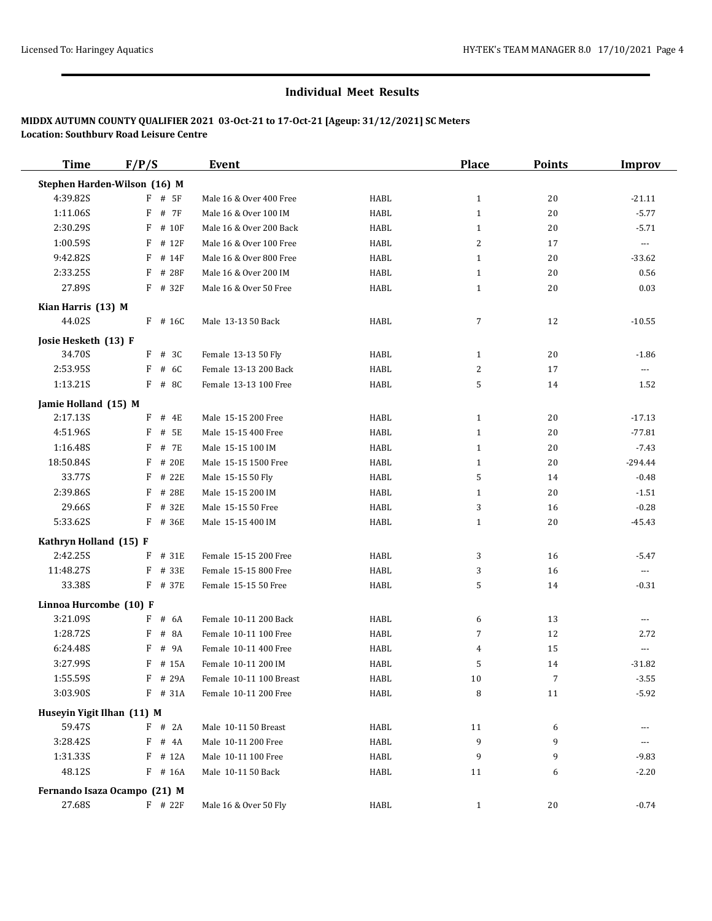| <b>Time</b>                  | F/P/S        | Event                   |             | <b>Place</b>   | <b>Points</b> | <b>Improv</b>        |
|------------------------------|--------------|-------------------------|-------------|----------------|---------------|----------------------|
| Stephen Harden-Wilson (16) M |              |                         |             |                |               |                      |
| 4:39.82S                     | $F$ # 5F     | Male 16 & Over 400 Free | HABL        | $\mathbf{1}$   | 20            | $-21.11$             |
| 1:11.06S                     | # 7F<br>F    | Male 16 & Over 100 IM   | HABL        | $\mathbf{1}$   | 20            | $-5.77$              |
| 2:30.295                     | F<br># 10F   | Male 16 & Over 200 Back | <b>HABL</b> | 1              | 20            | $-5.71$              |
| 1:00.59S                     | F<br># 12F   | Male 16 & Over 100 Free | <b>HABL</b> | 2              | 17            | $\cdots$             |
| 9:42.82S                     | F<br># 14F   | Male 16 & Over 800 Free | <b>HABL</b> | 1              | 20            | $-33.62$             |
| 2:33.25S                     | # 28F<br>F   | Male 16 & Over 200 IM   | <b>HABL</b> | $\mathbf{1}$   | 20            | 0.56                 |
| 27.89S                       | $F$ # 32 $F$ | Male 16 & Over 50 Free  | HABL        | 1              | 20            | 0.03                 |
| Kian Harris (13) M           |              |                         |             |                |               |                      |
| 44.02S                       | $F$ # 16C    | Male 13-13 50 Back      | HABL        | $\overline{7}$ | 12            | $-10.55$             |
| Josie Hesketh (13) F         |              |                         |             |                |               |                      |
| 34.70S                       | # 3C<br>F    | Female 13-13 50 Fly     | HABL        | $\mathbf{1}$   | 20            | $-1.86$              |
| 2:53.95S                     | # 6C<br>F    | Female 13-13 200 Back   | <b>HABL</b> | 2              | 17            | $\cdots$             |
| 1:13.21S                     | F # 8C       | Female 13-13 100 Free   | <b>HABL</b> | 5              | 14            | 1.52                 |
| Jamie Holland (15) M         |              |                         |             |                |               |                      |
| 2:17.13S                     | # 4E<br>F    | Male 15-15 200 Free     | HABL        | $\mathbf{1}$   | 20            | $-17.13$             |
| 4:51.96S                     | F<br># 5E    | Male 15-15 400 Free     | <b>HABL</b> | 1              | 20            | $-77.81$             |
| 1:16.48S                     | # 7E<br>F    | Male 15-15 100 IM       | <b>HABL</b> | 1              | 20            | $-7.43$              |
| 18:50.84S                    | # 20E<br>F   | Male 15-15 1500 Free    | HABL        | 1              | 20            | $-294.44$            |
| 33.77S                       | # 22E<br>F   | Male 15-15 50 Fly       | HABL        | 5              | 14            | $-0.48$              |
| 2:39.86S                     | F<br># 28E   | Male 15-15 200 IM       | HABL        | 1              | 20            | $-1.51$              |
| 29.66S                       | F<br># 32E   | Male 15-15 50 Free      | HABL        | 3              | 16            | $-0.28$              |
| 5:33.62S                     | F<br># 36E   | Male 15-15 400 IM       | <b>HABL</b> | $\mathbf{1}$   | 20            | $-45.43$             |
| Kathryn Holland (15) F       |              |                         |             |                |               |                      |
| 2:42.25S                     | F<br># 31E   | Female 15-15 200 Free   | <b>HABL</b> | 3              | 16            | $-5.47$              |
| 11:48.27S                    | # 33E<br>F   | Female 15-15 800 Free   | <b>HABL</b> | 3              | 16            | $\scriptstyle\cdots$ |
| 33.38S                       | F # 37E      | Female 15-15 50 Free    | <b>HABL</b> | 5              | 14            | $-0.31$              |
| Linnoa Hurcombe (10) F       |              |                         |             |                |               |                      |
| 3:21.09S                     | F<br># 6A    | Female 10-11 200 Back   | HABL        | 6              | 13            | $---$                |
| 1:28.72S                     | # 8A<br>F    | Female 10-11 100 Free   | <b>HABL</b> | $\overline{7}$ | 12            | 2.72                 |
| 6:24.48S                     | # 9A<br>F    | Female 10-11 400 Free   | <b>HABL</b> | 4              | 15            | ---                  |
| 3:27.99S                     | F # 15A      | Female 10-11 200 IM     | <b>HABL</b> | 5              | 14            | $-31.82$             |
| 1:55.59S                     | F # 29A      | Female 10-11 100 Breast | HABL        | 10             | 7             | $-3.55$              |
| 3:03.90S                     | $F$ # 31A    | Female 10-11 200 Free   | HABL        | 8              | 11            | $-5.92$              |
| Huseyin Yigit Ilhan (11) M   |              |                         |             |                |               |                      |
| 59.47S                       | F # 2A       | Male 10-11 50 Breast    | HABL        | 11             | 6             |                      |
| 3:28.42S                     | $F$ # 4A     | Male 10-11 200 Free     | <b>HABL</b> | 9              | 9             | ---                  |
| 1:31.335                     | $F$ # 12A    | Male 10-11 100 Free     | HABL        | 9              | 9             | $-9.83$              |
| 48.12S                       | $F$ # 16A    | Male 10-11 50 Back      | <b>HABL</b> | 11             | 6             | $-2.20$              |
| Fernando Isaza Ocampo (21) M |              |                         |             |                |               |                      |
| 27.68S                       | $F$ # 22 $F$ | Male 16 & Over 50 Fly   | HABL        | $\mathbf{1}$   | 20            | $-0.74$              |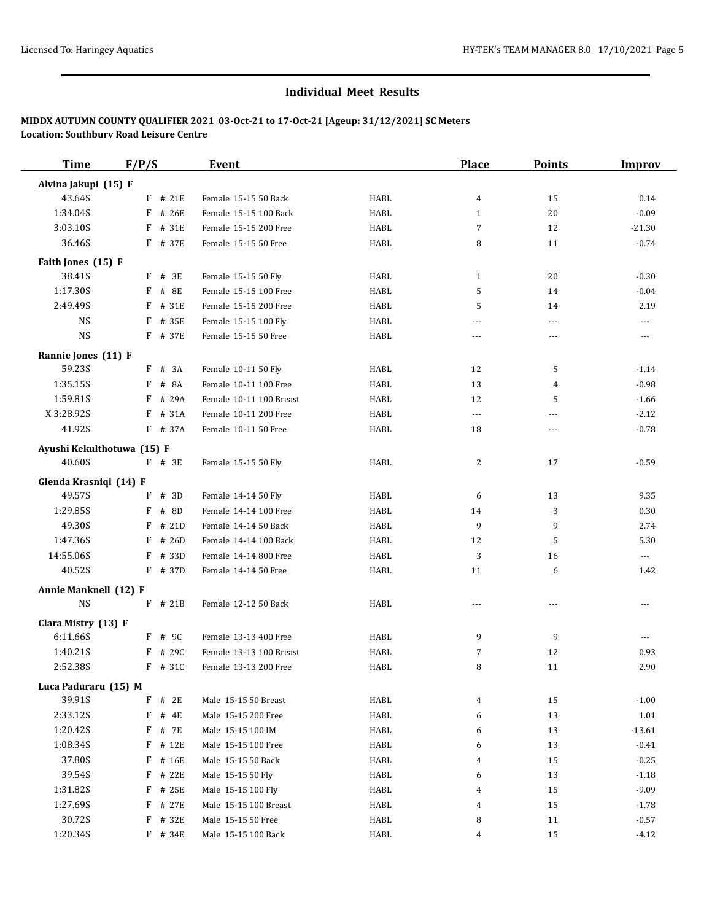| <b>Time</b>                   | F/P/S |           | Event                   |             | <b>Place</b>   | <b>Points</b>  | <b>Improv</b>        |
|-------------------------------|-------|-----------|-------------------------|-------------|----------------|----------------|----------------------|
| Alvina Jakupi (15) F          |       |           |                         |             |                |                |                      |
| 43.64S                        |       | $F$ # 21E | Female 15-15 50 Back    | HABL        | $\overline{4}$ | 15             | 0.14                 |
| 1:34.04S                      | F     | # 26E     | Female 15-15 100 Back   | HABL        | $\mathbf{1}$   | 20             | $-0.09$              |
| 3:03.10S                      | F     | # 31E     | Female 15-15 200 Free   | HABL        | 7              | 12             | $-21.30$             |
| 36.46S                        |       | F # 37E   | Female 15-15 50 Free    | HABL        | 8              | 11             | $-0.74$              |
| Faith Jones (15) F            |       |           |                         |             |                |                |                      |
| 38.41S                        | F     | # 3E      | Female 15-15 50 Fly     | HABL        | $\mathbf{1}$   | 20             | $-0.30$              |
| 1:17.30S                      | F     | # 8E      | Female 15-15 100 Free   | HABL        | 5              | 14             | $-0.04$              |
| 2:49.49S                      | F     | # 31E     | Female 15-15 200 Free   | HABL        | 5              | 14             | 2.19                 |
| <b>NS</b>                     | F     | # 35E     | Female 15-15 100 Fly    | HABL        | $\overline{a}$ | $\cdots$       | $\cdots$             |
| <b>NS</b>                     |       | F # 37E   | Female 15-15 50 Free    | HABL        | $- - -$        | ---            | $\cdots$             |
|                               |       |           |                         |             |                |                |                      |
| Rannie Jones (11) F<br>59.23S |       | $F$ # 3A  | Female 10-11 50 Fly     | <b>HABL</b> | 12             | 5              | $-1.14$              |
| 1:35.15S                      | F     | # 8A      | Female 10-11 100 Free   | HABL        | 13             | 4              | $-0.98$              |
| 1:59.81S                      | F     | # 29A     | Female 10-11 100 Breast | HABL        | 12             | 5              | $-1.66$              |
| X 3:28.92S                    | F     | # 31A     | Female 10-11 200 Free   | HABL        | $\overline{a}$ | $\overline{a}$ | $-2.12$              |
| 41.92S                        |       | F # 37A   | Female 10-11 50 Free    | HABL        | 18             | ---            | $-0.78$              |
|                               |       |           |                         |             |                |                |                      |
| Ayushi Kekulthotuwa (15) F    |       |           |                         |             |                |                |                      |
| 40.60S                        |       | $F$ # 3E  | Female 15-15 50 Fly     | <b>HABL</b> | $\overline{2}$ | 17             | $-0.59$              |
| Glenda Krasniqi (14) F        |       |           |                         |             |                |                |                      |
| 49.57S                        | F     | # 3D      | Female 14-14 50 Fly     | <b>HABL</b> | 6              | 13             | 9.35                 |
| 1:29.85S                      | F     | # 8D      | Female 14-14 100 Free   | HABL        | 14             | 3              | 0.30                 |
| 49.30S                        | F     | # 21D     | Female 14-14 50 Back    | HABL        | 9              | 9              | 2.74                 |
| 1:47.36S                      | F     | # 26D     | Female 14-14 100 Back   | HABL        | 12             | 5              | 5.30                 |
| 14:55.06S                     | F     | # 33D     | Female 14-14 800 Free   | HABL        | 3              | 16             | $\scriptstyle\cdots$ |
| 40.52S                        |       | F # 37D   | Female 14-14 50 Free    | HABL        | 11             | 6              | 1.42                 |
| Annie Manknell (12) F         |       |           |                         |             |                |                |                      |
| <b>NS</b>                     |       | $F$ # 21B | Female 12-12 50 Back    | <b>HABL</b> | $- - -$        |                | $\frac{1}{2}$        |
| Clara Mistry (13) F           |       |           |                         |             |                |                |                      |
| 6:11.66S                      |       | $F$ # 9C  | Female 13-13 400 Free   | HABL        | 9              | 9              | $\cdots$             |
| 1:40.21S                      | F     | # 29C     | Female 13-13 100 Breast | HABL        | 7              | 12             | 0.93                 |
| 2:52.38S                      |       | F # 31C   | Female 13-13 200 Free   | HABL        | 8              | 11             | 2.90                 |
| Luca Paduraru (15) M          |       |           |                         |             |                |                |                      |
| 39.91S                        | F     | # 2E      | Male 15-15 50 Breast    | HABL        | $\overline{4}$ | 15             | $-1.00$              |
| 2:33.12S                      | F     | # 4E      | Male 15-15 200 Free     | HABL        | 6              | 13             | 1.01                 |
| 1:20.42S                      | F     | # 7E      | Male 15-15 100 IM       | HABL        | 6              | 13             | $-13.61$             |
| 1:08.34S                      | F     | # 12E     | Male 15-15 100 Free     | HABL        | 6              | 13             | $-0.41$              |
| 37.80S                        | F     | # 16E     | Male 15-15 50 Back      | HABL        | $\overline{4}$ | 15             | $-0.25$              |
| 39.54S                        | F     | # 22E     | Male 15-15 50 Fly       | HABL        | 6              | 13             | $-1.18$              |
| 1:31.82S                      | F     | # 25E     | Male 15-15 100 Fly      | HABL        | $\overline{4}$ | 15             | $-9.09$              |
| 1:27.69S                      | F     | # 27E     | Male 15-15 100 Breast   | HABL        | $\overline{4}$ | 15             | $-1.78$              |
| 30.72S                        | F     | # 32E     | Male 15-15 50 Free      | HABL        | 8              | 11             | $-0.57$              |
| 1:20.34S                      |       | $F$ # 34E | Male 15-15 100 Back     | HABL        | $\overline{4}$ | 15             | $-4.12$              |